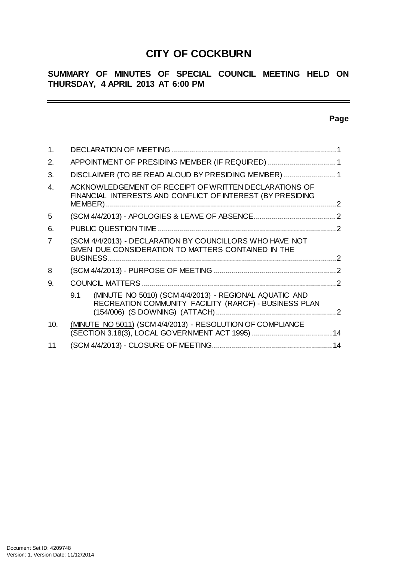# **CITY OF COCKBURN**

# **SUMMARY OF MINUTES OF SPECIAL COUNCIL MEETING HELD ON THURSDAY, 4 APRIL 2013 AT 6:00 PM**

# **Page**

 $\equiv$ 

| 1.             |                                                                                                                                    |  |
|----------------|------------------------------------------------------------------------------------------------------------------------------------|--|
| 2.             | APPOINTMENT OF PRESIDING MEMBER (IF REQUIRED) 1                                                                                    |  |
| 3.             | DISCLAIMER (TO BE READ ALOUD BY PRESIDING MEMBER)  1                                                                               |  |
| $\overline{4}$ | ACKNOWLEDGEMENT OF RECEIPT OF WRITTEN DECLARATIONS OF<br>FINANCIAL INTERESTS AND CONFLICT OF INTEREST (BY PRESIDING                |  |
| 5              |                                                                                                                                    |  |
| 6.             |                                                                                                                                    |  |
| 7              | (SCM 4/4/2013) - DECLARATION BY COUNCILLORS WHO HAVE NOT<br>GIVEN DUE CONSIDERATION TO MATTERS CONTAINED IN THE<br><b>BUSINESS</b> |  |
| 8              |                                                                                                                                    |  |
| 9.             |                                                                                                                                    |  |
|                | (MINUTE NO 5010) (SCM 4/4/2013) - REGIONAL AQUATIC AND<br>9.1<br>RECREATION COMMUNITY FACILITY (RARCF) - BUSINESS PLAN             |  |
| 10.            | (MINUTE NO 5011) (SCM 4/4/2013) - RESOLUTION OF COMPLIANCE                                                                         |  |
| 11             | 14                                                                                                                                 |  |

 $\sim$   $\sim$   $\sim$   $\sim$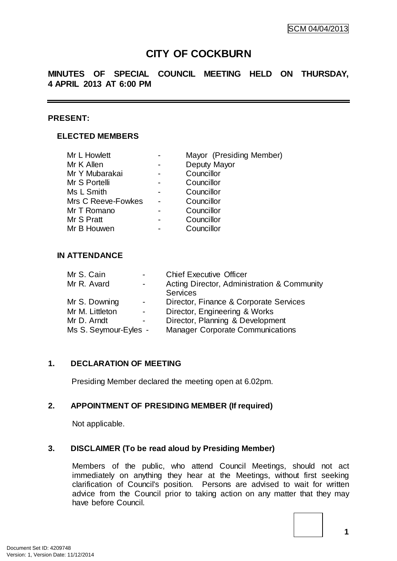# **CITY OF COCKBURN**

# **MINUTES OF SPECIAL COUNCIL MEETING HELD ON THURSDAY, 4 APRIL 2013 AT 6:00 PM**

## **PRESENT:**

# **ELECTED MEMBERS**

| Mr L Howlett       | Mayor (Presiding Member) |  |  |
|--------------------|--------------------------|--|--|
| Mr K Allen         | Deputy Mayor             |  |  |
| Mr Y Mubarakai     | Councillor               |  |  |
| Mr S Portelli      | Councillor               |  |  |
| Ms L Smith         | Councillor               |  |  |
| Mrs C Reeve-Fowkes | Councillor               |  |  |
| Mr T Romano        | Councillor               |  |  |
| Mr S Pratt         | Councillor               |  |  |
| Mr B Houwen        | Councillor               |  |  |
|                    |                          |  |  |

# **IN ATTENDANCE**

| Mr S. Cain |                       | $\qquad \qquad \blacksquare$ | <b>Chief Executive Officer</b>              |
|------------|-----------------------|------------------------------|---------------------------------------------|
|            | Mr R. Avard           | $\overline{\phantom{a}}$     | Acting Director, Administration & Community |
|            |                       |                              | <b>Services</b>                             |
|            | Mr S. Downing         | $\overline{\phantom{a}}$     | Director, Finance & Corporate Services      |
|            | Mr M. Littleton       | $\overline{\phantom{a}}$     | Director, Engineering & Works               |
|            | Mr D. Arndt           | $\overline{\phantom{a}}$     | Director, Planning & Development            |
|            | Ms S. Seymour-Eyles - |                              | <b>Manager Corporate Communications</b>     |

## **1. DECLARATION OF MEETING**

Presiding Member declared the meeting open at 6.02pm.

## **2. APPOINTMENT OF PRESIDING MEMBER (If required)**

Not applicable.

# **3. DISCLAIMER (To be read aloud by Presiding Member)**

Members of the public, who attend Council Meetings, should not act immediately on anything they hear at the Meetings, without first seeking clarification of Council's position. Persons are advised to wait for written advice from the Council prior to taking action on any matter that they may have before Council.

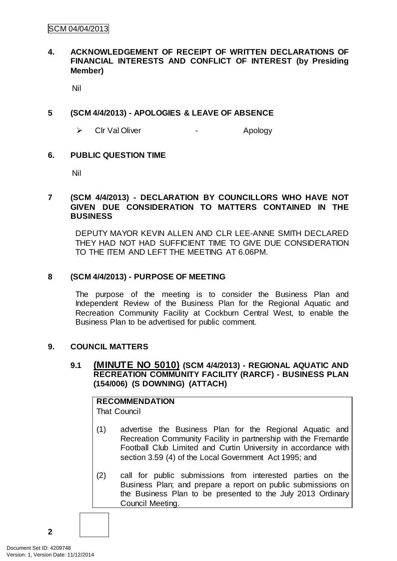# **4. ACKNOWLEDGEMENT OF RECEIPT OF WRITTEN DECLARATIONS OF FINANCIAL INTERESTS AND CONFLICT OF INTEREST (by Presiding Member)**

Nil

# **5 (SCM 4/4/2013) - APOLOGIES & LEAVE OF ABSENCE**

> Cir Val Oliver - Apology

# **6. PUBLIC QUESTION TIME**

Nil

# **7 (SCM 4/4/2013) - DECLARATION BY COUNCILLORS WHO HAVE NOT GIVEN DUE CONSIDERATION TO MATTERS CONTAINED IN THE BUSINESS**

DEPUTY MAYOR KEVIN ALLEN AND CLR LEE-ANNE SMITH DECLARED THEY HAD NOT HAD SUFFICIENT TIME TO GIVE DUE CONSIDERATION TO THE ITEM AND LEFT THE MEETING AT 6.06PM.

# **8 (SCM 4/4/2013) - PURPOSE OF MEETING**

The purpose of the meeting is to consider the Business Plan and Independent Review of the Business Plan for the Regional Aquatic and Recreation Community Facility at Cockburn Central West, to enable the Business Plan to be advertised for public comment.

# **9. COUNCIL MATTERS**

# **9.1 (MINUTE NO 5010) (SCM 4/4/2013) - REGIONAL AQUATIC AND RECREATION COMMUNITY FACILITY (RARCF) - BUSINESS PLAN (154/006) (S DOWNING) (ATTACH)**

# **RECOMMENDATION**

That Council

- (1) advertise the Business Plan for the Regional Aquatic and Recreation Community Facility in partnership with the Fremantle Football Club Limited and Curtin University in accordance with section 3.59 (4) of the Local Government Act 1995; and
- (2) call for public submissions from interested parties on the Business Plan; and prepare a report on public submissions on the Business Plan to be presented to the July 2013 Ordinary Council Meeting.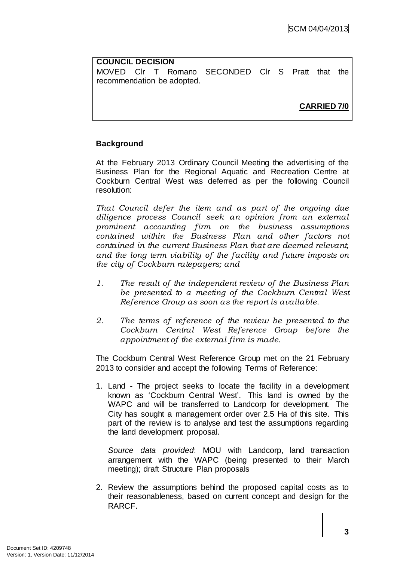# **COUNCIL DECISION** MOVED Clr T Romano SECONDED Clr S Pratt that the recommendation be adopted.

**CARRIED 7/0**

# **Background**

At the February 2013 Ordinary Council Meeting the advertising of the Business Plan for the Regional Aquatic and Recreation Centre at Cockburn Central West was deferred as per the following Council resolution:

*That Council defer the item and as part of the ongoing due diligence process Council seek an opinion from an external prominent accounting firm on the business assumptions contained within the Business Plan and other factors not contained in the current Business Plan that are deemed relevant, and the long term viability of the facility and future imposts on the city of Cockburn ratepayers; and*

- *1. The result of the independent review of the Business Plan be presented to a meeting of the Cockburn Central West Reference Group as soon as the report is available.*
- *2. The terms of reference of the review be presented to the Cockburn Central West Reference Group before the appointment of the external firm is made.*

The Cockburn Central West Reference Group met on the 21 February 2013 to consider and accept the following Terms of Reference:

1. Land - The project seeks to locate the facility in a development known as 'Cockburn Central West'. This land is owned by the WAPC and will be transferred to Landcorp for development. The City has sought a management order over 2.5 Ha of this site. This part of the review is to analyse and test the assumptions regarding the land development proposal.

*Source data provided*: MOU with Landcorp, land transaction arrangement with the WAPC (being presented to their March meeting); draft Structure Plan proposals

2. Review the assumptions behind the proposed capital costs as to their reasonableness, based on current concept and design for the RARCF.

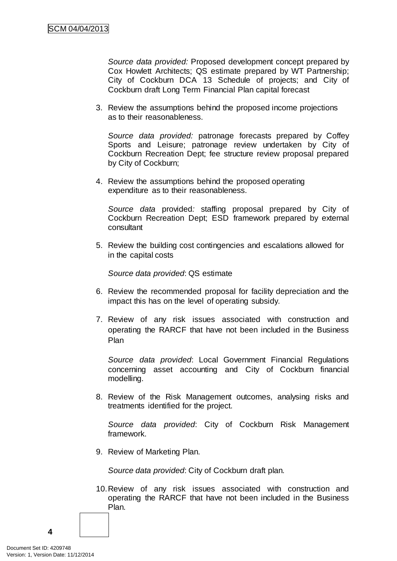*Source data provided:* Proposed development concept prepared by Cox Howlett Architects; QS estimate prepared by WT Partnership; City of Cockburn DCA 13 Schedule of projects; and City of Cockburn draft Long Term Financial Plan capital forecast

3. Review the assumptions behind the proposed income projections as to their reasonableness.

*Source data provided:* patronage forecasts prepared by Coffey Sports and Leisure; patronage review undertaken by City of Cockburn Recreation Dept; fee structure review proposal prepared by City of Cockburn;

4. Review the assumptions behind the proposed operating expenditure as to their reasonableness.

*Source data* provided*:* staffing proposal prepared by City of Cockburn Recreation Dept; ESD framework prepared by external consultant

5. Review the building cost contingencies and escalations allowed for in the capital costs

*Source data provided*: QS estimate

- 6. Review the recommended proposal for facility depreciation and the impact this has on the level of operating subsidy.
- 7. Review of any risk issues associated with construction and operating the RARCF that have not been included in the Business Plan

*Source data provided*: Local Government Financial Regulations concerning asset accounting and City of Cockburn financial modelling.

8. Review of the Risk Management outcomes, analysing risks and treatments identified for the project.

*Source data provided*: City of Cockburn Risk Management framework.

9. Review of Marketing Plan.

*Source data provided*: City of Cockburn draft plan.

10.Review of any risk issues associated with construction and operating the RARCF that have not been included in the Business Plan.

Document Set ID: 4209748<br>Version: 1, Version Date: 11/12/2014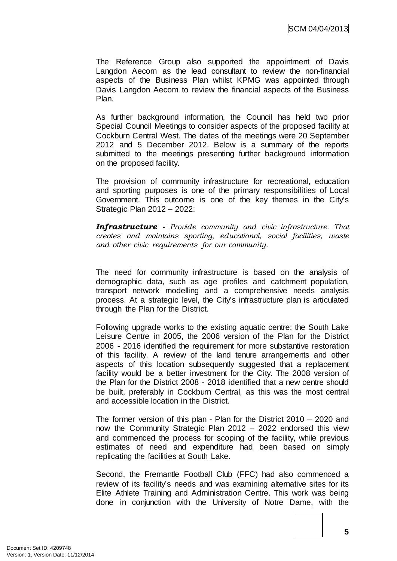The Reference Group also supported the appointment of Davis Langdon Aecom as the lead consultant to review the non-financial aspects of the Business Plan whilst KPMG was appointed through Davis Langdon Aecom to review the financial aspects of the Business Plan.

As further background information, the Council has held two prior Special Council Meetings to consider aspects of the proposed facility at Cockburn Central West. The dates of the meetings were 20 September 2012 and 5 December 2012. Below is a summary of the reports submitted to the meetings presenting further background information on the proposed facility.

The provision of community infrastructure for recreational, education and sporting purposes is one of the primary responsibilities of Local Government. This outcome is one of the key themes in the City's Strategic Plan 2012 – 2022:

*Infrastructure - Provide community and civic infrastructure. That creates and maintains sporting, educational, social facilities, waste and other civic requirements for our community.*

The need for community infrastructure is based on the analysis of demographic data, such as age profiles and catchment population, transport network modelling and a comprehensive needs analysis process. At a strategic level, the City's infrastructure plan is articulated through the Plan for the District.

Following upgrade works to the existing aquatic centre; the South Lake Leisure Centre in 2005, the 2006 version of the Plan for the District 2006 - 2016 identified the requirement for more substantive restoration of this facility. A review of the land tenure arrangements and other aspects of this location subsequently suggested that a replacement facility would be a better investment for the City. The 2008 version of the Plan for the District 2008 - 2018 identified that a new centre should be built, preferably in Cockburn Central, as this was the most central and accessible location in the District.

The former version of this plan - Plan for the District 2010 – 2020 and now the Community Strategic Plan 2012 – 2022 endorsed this view and commenced the process for scoping of the facility, while previous estimates of need and expenditure had been based on simply replicating the facilities at South Lake.

Second, the Fremantle Football Club (FFC) had also commenced a review of its facility's needs and was examining alternative sites for its Elite Athlete Training and Administration Centre. This work was being done in conjunction with the University of Notre Dame, with the

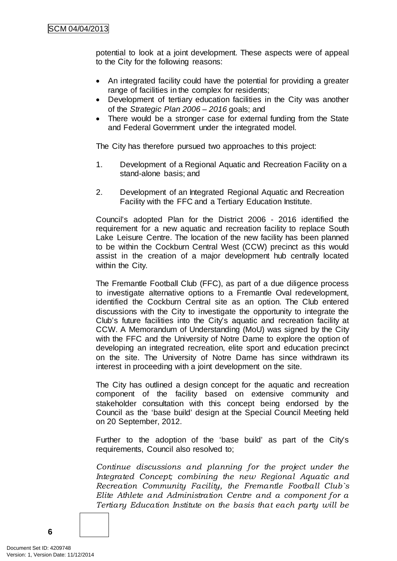potential to look at a joint development. These aspects were of appeal to the City for the following reasons:

- An integrated facility could have the potential for providing a greater range of facilities in the complex for residents;
- Development of tertiary education facilities in the City was another of the *Strategic Plan 2006 – 2016* goals; and
- There would be a stronger case for external funding from the State and Federal Government under the integrated model.

The City has therefore pursued two approaches to this project:

- 1. Development of a Regional Aquatic and Recreation Facility on a stand-alone basis; and
- 2. Development of an Integrated Regional Aquatic and Recreation Facility with the FFC and a Tertiary Education Institute.

Council's adopted Plan for the District 2006 - 2016 identified the requirement for a new aquatic and recreation facility to replace South Lake Leisure Centre. The location of the new facility has been planned to be within the Cockburn Central West (CCW) precinct as this would assist in the creation of a major development hub centrally located within the City.

The Fremantle Football Club (FFC), as part of a due diligence process to investigate alternative options to a Fremantle Oval redevelopment, identified the Cockburn Central site as an option. The Club entered discussions with the City to investigate the opportunity to integrate the Club's future facilities into the City's aquatic and recreation facility at CCW. A Memorandum of Understanding (MoU) was signed by the City with the FFC and the University of Notre Dame to explore the option of developing an integrated recreation, elite sport and education precinct on the site. The University of Notre Dame has since withdrawn its interest in proceeding with a joint development on the site.

The City has outlined a design concept for the aquatic and recreation component of the facility based on extensive community and stakeholder consultation with this concept being endorsed by the Council as the 'base build' design at the Special Council Meeting held on 20 September, 2012.

Further to the adoption of the 'base build' as part of the City's requirements, Council also resolved to;

*Continue discussions and planning for the project under the Integrated Concept; combining the new Regional Aquatic and Recreation Community Facility, the Fremantle Football Club`s Elite Athlete and Administration Centre and a component for a Tertiary Education Institute on the basis that each party will be*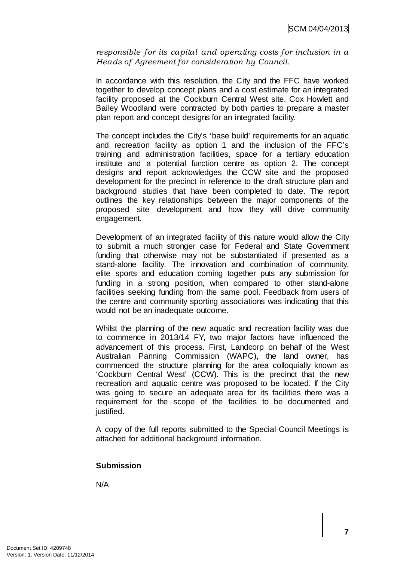*responsible for its capital and operating costs for inclusion in a Heads of Agreement for consideration by Council.*

In accordance with this resolution, the City and the FFC have worked together to develop concept plans and a cost estimate for an integrated facility proposed at the Cockburn Central West site. Cox Howlett and Bailey Woodland were contracted by both parties to prepare a master plan report and concept designs for an integrated facility.

The concept includes the City's 'base build' requirements for an aquatic and recreation facility as option 1 and the inclusion of the FFC's training and administration facilities, space for a tertiary education institute and a potential function centre as option 2. The concept designs and report acknowledges the CCW site and the proposed development for the precinct in reference to the draft structure plan and background studies that have been completed to date. The report outlines the key relationships between the major components of the proposed site development and how they will drive community engagement.

Development of an integrated facility of this nature would allow the City to submit a much stronger case for Federal and State Government funding that otherwise may not be substantiated if presented as a stand-alone facility. The innovation and combination of community, elite sports and education coming together puts any submission for funding in a strong position, when compared to other stand-alone facilities seeking funding from the same pool. Feedback from users of the centre and community sporting associations was indicating that this would not be an inadequate outcome.

Whilst the planning of the new aquatic and recreation facility was due to commence in 2013/14 FY, two major factors have influenced the advancement of this process. First, Landcorp on behalf of the West Australian Panning Commission (WAPC), the land owner, has commenced the structure planning for the area colloquially known as 'Cockburn Central West' (CCW). This is the precinct that the new recreation and aquatic centre was proposed to be located. If the City was going to secure an adequate area for its facilities there was a requirement for the scope of the facilities to be documented and justified.

A copy of the full reports submitted to the Special Council Meetings is attached for additional background information.

## **Submission**

N/A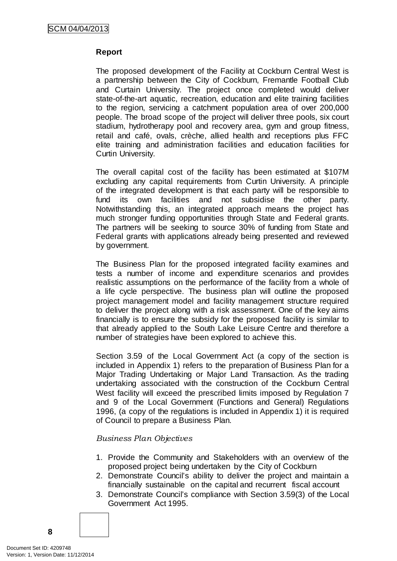# **Report**

The proposed development of the Facility at Cockburn Central West is a partnership between the City of Cockburn, Fremantle Football Club and Curtain University. The project once completed would deliver state-of-the-art aquatic, recreation, education and elite training facilities to the region, servicing a catchment population area of over 200,000 people. The broad scope of the project will deliver three pools, six court stadium, hydrotherapy pool and recovery area, gym and group fitness, retail and café, ovals, crèche, allied health and receptions plus FFC elite training and administration facilities and education facilities for Curtin University.

The overall capital cost of the facility has been estimated at \$107M excluding any capital requirements from Curtin University. A principle of the integrated development is that each party will be responsible to fund its own facilities and not subsidise the other party. Notwithstanding this, an integrated approach means the project has much stronger funding opportunities through State and Federal grants. The partners will be seeking to source 30% of funding from State and Federal grants with applications already being presented and reviewed by government.

The Business Plan for the proposed integrated facility examines and tests a number of income and expenditure scenarios and provides realistic assumptions on the performance of the facility from a whole of a life cycle perspective. The business plan will outline the proposed project management model and facility management structure required to deliver the project along with a risk assessment. One of the key aims financially is to ensure the subsidy for the proposed facility is similar to that already applied to the South Lake Leisure Centre and therefore a number of strategies have been explored to achieve this.

Section 3.59 of the Local Government Act (a copy of the section is included in Appendix 1) refers to the preparation of Business Plan for a Major Trading Undertaking or Major Land Transaction. As the trading undertaking associated with the construction of the Cockburn Central West facility will exceed the prescribed limits imposed by Regulation 7 and 9 of the Local Government (Functions and General) Regulations 1996, (a copy of the regulations is included in Appendix 1) it is required of Council to prepare a Business Plan.

## *Business Plan Objectives*

- 1. Provide the Community and Stakeholders with an overview of the proposed project being undertaken by the City of Cockburn
- 2. Demonstrate Council's ability to deliver the project and maintain a financially sustainable on the capital and recurrent fiscal account
- 3. Demonstrate Council's compliance with Section 3.59(3) of the Local Government Act 1995.

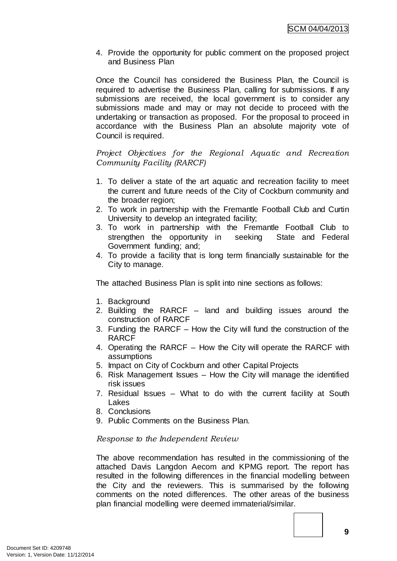4. Provide the opportunity for public comment on the proposed project and Business Plan

Once the Council has considered the Business Plan, the Council is required to advertise the Business Plan, calling for submissions. If any submissions are received, the local government is to consider any submissions made and may or may not decide to proceed with the undertaking or transaction as proposed. For the proposal to proceed in accordance with the Business Plan an absolute majority vote of Council is required.

*Project Objectives for the Regional Aquatic and Recreation Community Facility (RARCF)*

- 1. To deliver a state of the art aquatic and recreation facility to meet the current and future needs of the City of Cockburn community and the broader region;
- 2. To work in partnership with the Fremantle Football Club and Curtin University to develop an integrated facility;
- 3. To work in partnership with the Fremantle Football Club to strengthen the opportunity in seeking State and Federal Government funding; and;
- 4. To provide a facility that is long term financially sustainable for the City to manage.

The attached Business Plan is split into nine sections as follows:

- 1. Background
- 2. Building the RARCF land and building issues around the construction of RARCF
- 3. Funding the RARCF How the City will fund the construction of the RARCF
- 4. Operating the RARCF How the City will operate the RARCF with assumptions
- 5. Impact on City of Cockburn and other Capital Projects
- 6. Risk Management Issues How the City will manage the identified risk issues
- 7. Residual Issues What to do with the current facility at South Lakes
- 8. Conclusions
- 9. Public Comments on the Business Plan.

## *Response to the Independent Review*

The above recommendation has resulted in the commissioning of the attached Davis Langdon Aecom and KPMG report. The report has resulted in the following differences in the financial modelling between the City and the reviewers. This is summarised by the following comments on the noted differences. The other areas of the business plan financial modelling were deemed immaterial/similar.

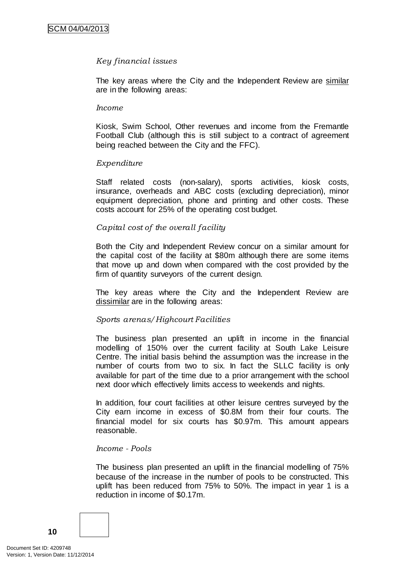## *Key financial issues*

The key areas where the City and the Independent Review are similar are in the following areas:

#### *Income*

Kiosk, Swim School, Other revenues and income from the Fremantle Football Club (although this is still subject to a contract of agreement being reached between the City and the FFC).

#### *Expenditure*

Staff related costs (non-salary), sports activities, kiosk costs, insurance, overheads and ABC costs (excluding depreciation), minor equipment depreciation, phone and printing and other costs. These costs account for 25% of the operating cost budget.

## *Capital cost of the overall facility*

Both the City and Independent Review concur on a similar amount for the capital cost of the facility at \$80m although there are some items that move up and down when compared with the cost provided by the firm of quantity surveyors of the current design.

The key areas where the City and the Independent Review are dissimilar are in the following areas:

#### *Sports arenas/Highcourt Facilities*

The business plan presented an uplift in income in the financial modelling of 150% over the current facility at South Lake Leisure Centre. The initial basis behind the assumption was the increase in the number of courts from two to six. In fact the SLLC facility is only available for part of the time due to a prior arrangement with the school next door which effectively limits access to weekends and nights.

In addition, four court facilities at other leisure centres surveyed by the City earn income in excess of \$0.8M from their four courts. The financial model for six courts has \$0.97m. This amount appears reasonable.

#### *Income - Pools*

The business plan presented an uplift in the financial modelling of 75% because of the increase in the number of pools to be constructed. This uplift has been reduced from 75% to 50%. The impact in year 1 is a reduction in income of \$0.17m.

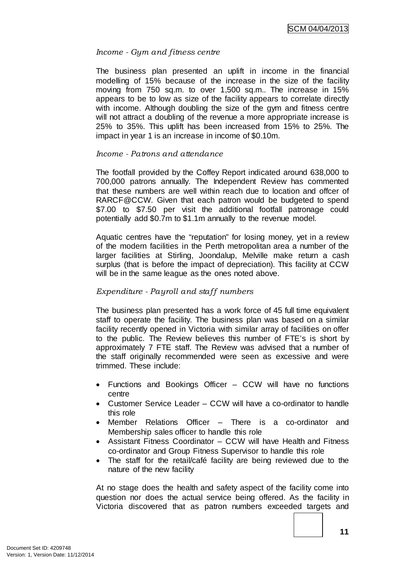## *Income - Gym and fitness centre*

The business plan presented an uplift in income in the financial modelling of 15% because of the increase in the size of the facility moving from 750 sq.m. to over 1,500 sq.m.. The increase in 15% appears to be to low as size of the facility appears to correlate directly with income. Although doubling the size of the gym and fitness centre will not attract a doubling of the revenue a more appropriate increase is 25% to 35%. This uplift has been increased from 15% to 25%. The impact in year 1 is an increase in income of \$0.10m.

#### *Income - Patrons and attendance*

The footfall provided by the Coffey Report indicated around 638,000 to 700,000 patrons annually. The Independent Review has commented that these numbers are well within reach due to location and offcer of RARCF@CCW. Given that each patron would be budgeted to spend \$7.00 to \$7.50 per visit the additional footfall patronage could potentially add \$0.7m to \$1.1m annually to the revenue model.

Aquatic centres have the "reputation" for losing money, yet in a review of the modern facilities in the Perth metropolitan area a number of the larger facilities at Stirling, Joondalup, Melville make return a cash surplus (that is before the impact of depreciation). This facility at CCW will be in the same league as the ones noted above.

## *Expenditure - Payroll and staff numbers*

The business plan presented has a work force of 45 full time equivalent staff to operate the facility. The business plan was based on a similar facility recently opened in Victoria with similar array of facilities on offer to the public. The Review believes this number of FTE's is short by approximately 7 FTE staff. The Review was advised that a number of the staff originally recommended were seen as excessive and were trimmed. These include:

- Functions and Bookings Officer CCW will have no functions centre
- Customer Service Leader CCW will have a co-ordinator to handle this role
- Member Relations Officer There is a co-ordinator and Membership sales officer to handle this role
- Assistant Fitness Coordinator CCW will have Health and Fitness co-ordinator and Group Fitness Supervisor to handle this role
- The staff for the retail/café facility are being reviewed due to the nature of the new facility

At no stage does the health and safety aspect of the facility come into question nor does the actual service being offered. As the facility in Victoria discovered that as patron numbers exceeded targets and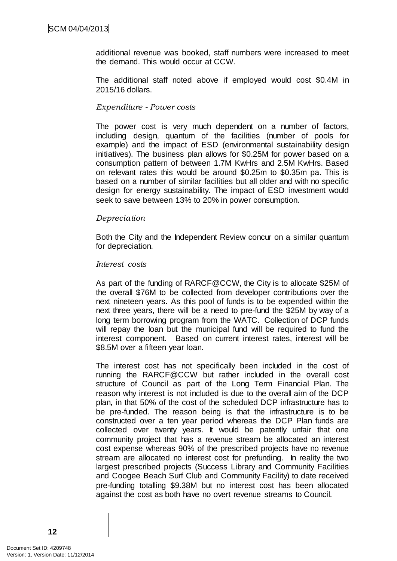additional revenue was booked, staff numbers were increased to meet the demand. This would occur at CCW.

The additional staff noted above if employed would cost \$0.4M in 2015/16 dollars.

#### *Expenditure - Power costs*

The power cost is very much dependent on a number of factors, including design, quantum of the facilities (number of pools for example) and the impact of ESD (environmental sustainability design initiatives). The business plan allows for \$0.25M for power based on a consumption pattern of between 1.7M KwHrs and 2.5M KwHrs. Based on relevant rates this would be around \$0.25m to \$0.35m pa. This is based on a number of similar facilities but all older and with no specific design for energy sustainability. The impact of ESD investment would seek to save between 13% to 20% in power consumption.

#### *Depreciation*

Both the City and the Independent Review concur on a similar quantum for depreciation.

#### *Interest costs*

As part of the funding of RARCF@CCW, the City is to allocate \$25M of the overall \$76M to be collected from developer contributions over the next nineteen years. As this pool of funds is to be expended within the next three years, there will be a need to pre-fund the \$25M by way of a long term borrowing program from the WATC. Collection of DCP funds will repay the loan but the municipal fund will be required to fund the interest component. Based on current interest rates, interest will be \$8.5M over a fifteen year loan.

The interest cost has not specifically been included in the cost of running the RARCF@CCW but rather included in the overall cost structure of Council as part of the Long Term Financial Plan. The reason why interest is not included is due to the overall aim of the DCP plan, in that 50% of the cost of the scheduled DCP infrastructure has to be pre-funded. The reason being is that the infrastructure is to be constructed over a ten year period whereas the DCP Plan funds are collected over twenty years. It would be patently unfair that one community project that has a revenue stream be allocated an interest cost expense whereas 90% of the prescribed projects have no revenue stream are allocated no interest cost for prefunding. In reality the two largest prescribed projects (Success Library and Community Facilities and Coogee Beach Surf Club and Community Facility) to date received pre-funding totalling \$9.38M but no interest cost has been allocated against the cost as both have no overt revenue streams to Council.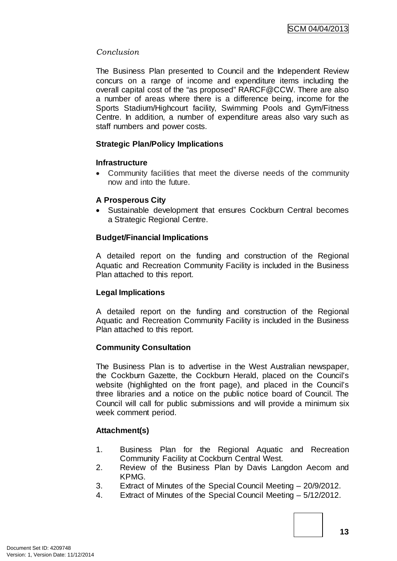# *Conclusion*

The Business Plan presented to Council and the Independent Review concurs on a range of income and expenditure items including the overall capital cost of the "as proposed" RARCF@CCW. There are also a number of areas where there is a difference being, income for the Sports Stadium/Highcourt facility, Swimming Pools and Gym/Fitness Centre. In addition, a number of expenditure areas also vary such as staff numbers and power costs.

## **Strategic Plan/Policy Implications**

## **Infrastructure**

• Community facilities that meet the diverse needs of the community now and into the future.

# **A Prosperous City**

• Sustainable development that ensures Cockburn Central becomes a Strategic Regional Centre.

# **Budget/Financial Implications**

A detailed report on the funding and construction of the Regional Aquatic and Recreation Community Facility is included in the Business Plan attached to this report.

## **Legal Implications**

A detailed report on the funding and construction of the Regional Aquatic and Recreation Community Facility is included in the Business Plan attached to this report.

## **Community Consultation**

The Business Plan is to advertise in the West Australian newspaper, the Cockburn Gazette, the Cockburn Herald, placed on the Council's website (highlighted on the front page), and placed in the Council's three libraries and a notice on the public notice board of Council. The Council will call for public submissions and will provide a minimum six week comment period.

# **Attachment(s)**

- 1. Business Plan for the Regional Aquatic and Recreation Community Facility at Cockburn Central West.
- 2. Review of the Business Plan by Davis Langdon Aecom and KPMG.
- 3. Extract of Minutes of the Special Council Meeting 20/9/2012.
- 4. Extract of Minutes of the Special Council Meeting 5/12/2012.

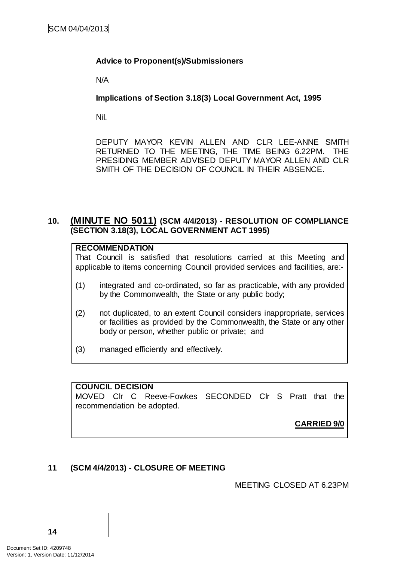# **Advice to Proponent(s)/Submissioners**

N/A

**Implications of Section 3.18(3) Local Government Act, 1995**

Nil.

DEPUTY MAYOR KEVIN ALLEN AND CLR LEE-ANNE SMITH RETURNED TO THE MEETING, THE TIME BEING 6.22PM. THE PRESIDING MEMBER ADVISED DEPUTY MAYOR ALLEN AND CLR SMITH OF THE DECISION OF COUNCIL IN THEIR ABSENCE.

# **10. (MINUTE NO 5011) (SCM 4/4/2013) - RESOLUTION OF COMPLIANCE (SECTION 3.18(3), LOCAL GOVERNMENT ACT 1995)**

|  |  | <b>RECOMMENDATION</b> |  |
|--|--|-----------------------|--|
|  |  |                       |  |

That Council is satisfied that resolutions carried at this Meeting and applicable to items concerning Council provided services and facilities, are:-

- (1) integrated and co-ordinated, so far as practicable, with any provided by the Commonwealth, the State or any public body;
- (2) not duplicated, to an extent Council considers inappropriate, services or facilities as provided by the Commonwealth, the State or any other body or person, whether public or private; and
- (3) managed efficiently and effectively.

# **COUNCIL DECISION**

MOVED Clr C Reeve-Fowkes SECONDED Clr S Pratt that the recommendation be adopted.

**CARRIED 9/0**

# **11 (SCM 4/4/2013) - CLOSURE OF MEETING**

MEETING CLOSED AT 6.23PM